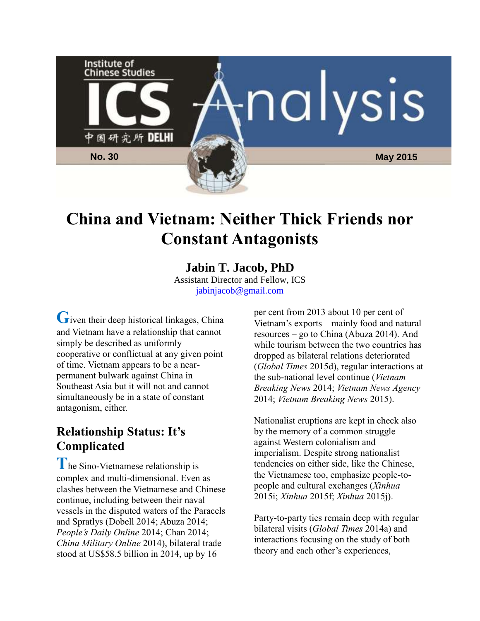

# **China and Vietnam: Neither Thick Friends nor Constant Antagonists**

#### **Jabin T. Jacob, PhD** Assistant Director and Fellow, ICS [jabinjacob@gmail.com](mailto:jabinjacob@gmail.com)

Given their deep historical linkages, China and Vietnam have a relationship that cannot simply be described as uniformly cooperative or conflictual at any given point of time. Vietnam appears to be a nearpermanent bulwark against China in Southeast Asia but it will not and cannot simultaneously be in a state of constant antagonism, either.

## **Relationship Status: It's Complicated**

**T**he Sino-Vietnamese relationship is complex and multi-dimensional. Even as clashes between the Vietnamese and Chinese continue, including between their naval vessels in the disputed waters of the Paracels and Spratlys (Dobell 2014; Abuza 2014; *People's Daily Online* 2014; Chan 2014; *China Military Online* 2014), bilateral trade stood at US\$58.5 billion in 2014, up by 16

per cent from 2013 about 10 per cent of Vietnam's exports – mainly food and natural resources – go to China (Abuza 2014). And while tourism between the two countries has dropped as bilateral relations deteriorated (*Global Times* 2015d), regular interactions at the sub-national level continue (*Vietnam Breaking News* 2014; *Vietnam News Agency* 2014; *Vietnam Breaking News* 2015).

Nationalist eruptions are kept in check also by the memory of a common struggle against Western colonialism and imperialism. Despite strong nationalist tendencies on either side, like the Chinese, the Vietnamese too, emphasize people-topeople and cultural exchanges (*Xinhua* 2015i; *Xinhua* 2015f; *Xinhua* 2015j).

Party-to-party ties remain deep with regular bilateral visits (*Global Times* 2014a) and interactions focusing on the study of both theory and each other's experiences,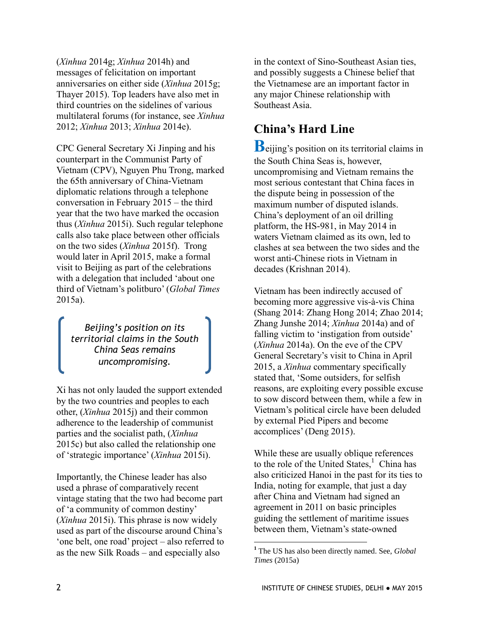(*Xinhua* 2014g; *Xinhua* 2014h) and messages of felicitation on important anniversaries on either side (*Xinhua* 2015g; Thayer 2015). Top leaders have also met in third countries on the sidelines of various multilateral forums (for instance, see *Xinhua* 2012; *Xinhua* 2013; *Xinhua* 2014e).

CPC General Secretary Xi Jinping and his counterpart in the Communist Party of Vietnam (CPV), Nguyen Phu Trong, marked the 65th anniversary of China-Vietnam diplomatic relations through a telephone conversation in February 2015 – the third year that the two have marked the occasion thus (*Xinhua* 2015i). Such regular telephone calls also take place between other officials on the two sides (*Xinhua* 2015f). Trong would later in April 2015, make a formal visit to Beijing as part of the celebrations with a delegation that included 'about one third of Vietnam's politburo' (*Global Times* 2015a).

*Beijing's position on its territorial claims in the South China Seas remains uncompromising.*

Xi has not only lauded the support extended by the two countries and peoples to each other, (*Xinhua* 2015j) and their common adherence to the leadership of communist parties and the socialist path, (*Xinhua* 2015c) but also called the relationship one of 'strategic importance' (*Xinhua* 2015i).

Importantly, the Chinese leader has also used a phrase of comparatively recent vintage stating that the two had become part of 'a community of common destiny' (*Xinhua* 2015i). This phrase is now widely used as part of the discourse around China's 'one belt, one road' project – also referred to as the new Silk Roads – and especially also

in the context of Sino-Southeast Asian ties, and possibly suggests a Chinese belief that the Vietnamese are an important factor in any major Chinese relationship with Southeast Asia.

## **China's Hard Line**

**B**eijing's position on its territorial claims in the South China Seas is, however, uncompromising and Vietnam remains the most serious contestant that China faces in the dispute being in possession of the maximum number of disputed islands. China's deployment of an oil drilling platform, the HS-981, in May 2014 in waters Vietnam claimed as its own, led to clashes at sea between the two sides and the worst anti-Chinese riots in Vietnam in decades (Krishnan 2014).

Vietnam has been indirectly accused of becoming more aggressive vis-à-vis China (Shang 2014: Zhang Hong 2014; Zhao 2014; Zhang Junshe 2014; *Xinhua* 2014a) and of falling victim to 'instigation from outside' (*Xinhua* 2014a). On the eve of the CPV General Secretary's visit to China in April 2015, a *Xinhua* commentary specifically stated that, 'Some outsiders, for selfish reasons, are exploiting every possible excuse to sow discord between them, while a few in Vietnam's political circle have been deluded by external Pied Pipers and become accomplices' (Deng 2015).

While these are usually oblique references to the role of the United States, $<sup>1</sup>$  China has</sup> also criticized Hanoi in the past for its ties to India, noting for example, that just a day after China and Vietnam had signed an agreement in 2011 on basic principles guiding the settlement of maritime issues between them, Vietnam's state-owned

**<sup>1</sup>** The US has also been directly named. See, *Global Times* (2015a)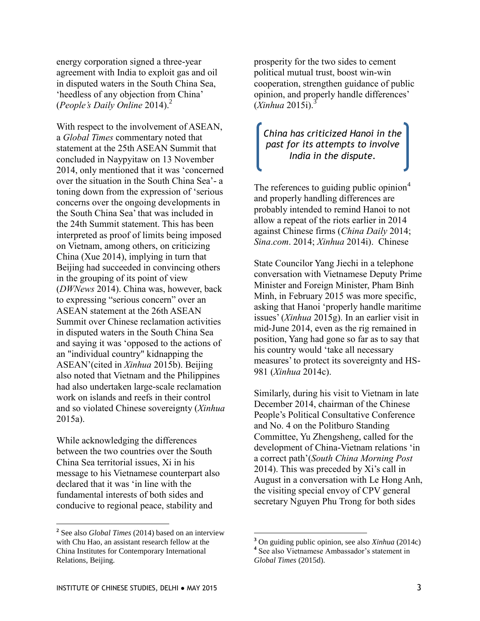energy corporation signed a three-year agreement with India to exploit gas and oil in disputed waters in the South China Sea, 'heedless of any objection from China' (*People's Daily Online* 2014).<sup>2</sup>

With respect to the involvement of ASEAN, a *Global Times* commentary noted that statement at the 25th ASEAN Summit that concluded in Naypyitaw on 13 November 2014, only mentioned that it was 'concerned over the situation in the South China Sea'- a toning down from the expression of 'serious concerns over the ongoing developments in the South China Sea' that was included in the 24th Summit statement. This has been interpreted as proof of limits being imposed on Vietnam, among others, on criticizing China (Xue 2014), implying in turn that Beijing had succeeded in convincing others in the grouping of its point of view (*DWNews* 2014). China was, however, back to expressing "serious concern" over an ASEAN statement at the 26th ASEAN Summit over Chinese reclamation activities in disputed waters in the South China Sea and saying it was 'opposed to the actions of an "individual country" kidnapping the ASEAN'(cited in *Xinhua* 2015b). Beijing also noted that Vietnam and the Philippines had also undertaken large-scale reclamation work on islands and reefs in their control and so violated Chinese sovereignty (*Xinhua* 2015a).

While acknowledging the differences between the two countries over the South China Sea territorial issues, Xi in his message to his Vietnamese counterpart also declared that it was 'in line with the fundamental interests of both sides and conducive to regional peace, stability and

 $\overline{a}$ 

prosperity for the two sides to cement political mutual trust, boost win-win cooperation, strengthen guidance of public opinion, and properly handle differences'  $(Xinhua 2015i)$ .<sup>3</sup>

#### *China has criticized Hanoi in the past for its attempts to involve India in the dispute.*

The references to guiding public opinion<sup>4</sup> and properly handling differences are probably intended to remind Hanoi to not allow a repeat of the riots earlier in 2014 against Chinese firms (*China Daily* 2014; *Sina*.*com*. 2014; *Xinhua* 2014i). Chinese

State Councilor Yang Jiechi in a telephone conversation with Vietnamese Deputy Prime Minister and Foreign Minister, Pham Binh Minh, in February 2015 was more specific, asking that Hanoi 'properly handle maritime issues' (*Xinhua* 2015g). In an earlier visit in mid-June 2014, even as the rig remained in position, Yang had gone so far as to say that his country would 'take all necessary measures' to protect its sovereignty and HS-981 (*Xinhua* 2014c).

Similarly, during his visit to Vietnam in late December 2014, chairman of the Chinese People's Political Consultative Conference and No. 4 on the Politburo Standing Committee, Yu Zhengsheng, called for the development of China-Vietnam relations 'in a correct path'(*South China Morning Post* 2014). This was preceded by Xi's call in August in a conversation with Le Hong Anh, the visiting special envoy of CPV general secretary Nguyen Phu Trong for both sides

**<sup>2</sup>** See also *Global Times* (2014) based on an interview with Chu Hao, an assistant research fellow at the China Institutes for Contemporary International Relations, Beijing.

**<sup>3</sup>** On guiding public opinion, see also *Xinhua* (2014c) **4** See also Vietnamese Ambassador's statement in *Global Times* (2015d).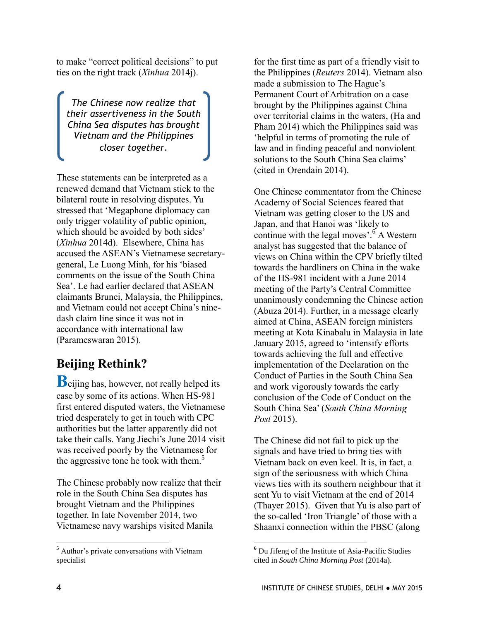to make "correct political decisions" to put ties on the right track (*Xinhua* 2014j).

*The Chinese now realize that their assertiveness in the South China Sea disputes has brought Vietnam and the Philippines closer together.*

These statements can be interpreted as a renewed demand that Vietnam stick to the bilateral route in resolving disputes. Yu stressed that 'Megaphone diplomacy can only trigger volatility of public opinion, which should be avoided by both sides' (*Xinhua* 2014d). Elsewhere, China has accused the ASEAN's Vietnamese secretarygeneral, Le Luong Minh, for his 'biased comments on the issue of the South China Sea'. Le had earlier declared that ASEAN claimants Brunei, Malaysia, the Philippines, and Vietnam could not accept China's ninedash claim line since it was not in accordance with international law (Parameswaran 2015).

## **Beijing Rethink?**

**B**eijing has, however, not really helped its case by some of its actions. When HS-981 first entered disputed waters, the Vietnamese tried desperately to get in touch with CPC authorities but the latter apparently did not take their calls. Yang Jiechi's June 2014 visit was received poorly by the Vietnamese for the aggressive tone he took with them.<sup>5</sup>

The Chinese probably now realize that their role in the South China Sea disputes has brought Vietnam and the Philippines together. In late November 2014, two Vietnamese navy warships visited Manila

for the first time as part of a friendly visit to the Philippines (*Reuters* 2014). Vietnam also made a submission to The Hague's Permanent Court of Arbitration on a case brought by the Philippines against China over territorial claims in the waters, (Ha and Pham 2014) which the Philippines said was 'helpful in terms of promoting the rule of law and in finding peaceful and nonviolent solutions to the South China Sea claims' (cited in Orendain 2014).

One Chinese commentator from the Chinese Academy of Social Sciences feared that Vietnam was getting closer to the US and Japan, and that Hanoi was 'likely to continue with the legal moves'.<sup>6</sup> A Western analyst has suggested that the balance of views on China within the CPV briefly tilted towards the hardliners on China in the wake of the HS-981 incident with a June 2014 meeting of the Party's Central Committee unanimously condemning the Chinese action (Abuza 2014). Further, in a message clearly aimed at China, ASEAN foreign ministers meeting at Kota Kinabalu in Malaysia in late January 2015, agreed to 'intensify efforts towards achieving the full and effective implementation of the Declaration on the Conduct of Parties in the South China Sea and work vigorously towards the early conclusion of the Code of Conduct on the South China Sea' (*South China Morning Post* 2015).

The Chinese did not fail to pick up the signals and have tried to bring ties with Vietnam back on even keel. It is, in fact, a sign of the seriousness with which China views ties with its southern neighbour that it sent Yu to visit Vietnam at the end of 2014 (Thayer 2015). Given that Yu is also part of the so-called 'Iron Triangle' of those with a Shaanxi connection within the PBSC (along

 $\overline{a}$ 

**<sup>5</sup>** Author's private conversations with Vietnam specialist

**<sup>6</sup>** Du Jifeng of the Institute of Asia-Pacific Studies cited in *South China Morning Post* (2014a).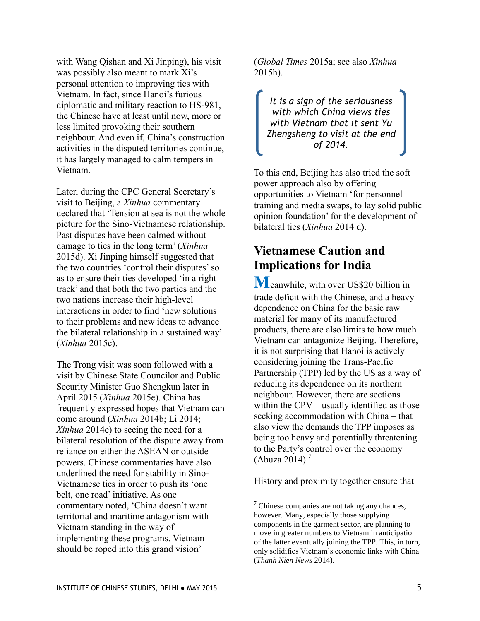with Wang Qishan and Xi Jinping), his visit was possibly also meant to mark Xi's personal attention to improving ties with Vietnam. In fact, since Hanoi's furious diplomatic and military reaction to HS-981, the Chinese have at least until now, more or less limited provoking their southern neighbour. And even if, China's construction activities in the disputed territories continue, it has largely managed to calm tempers in Vietnam.

Later, during the CPC General Secretary's visit to Beijing, a *Xinhua* commentary declared that 'Tension at sea is not the whole picture for the Sino-Vietnamese relationship. Past disputes have been calmed without damage to ties in the long term' (*Xinhua* 2015d). Xi Jinping himself suggested that the two countries 'control their disputes' so as to ensure their ties developed 'in a right track' and that both the two parties and the two nations increase their high-level interactions in order to find 'new solutions to their problems and new ideas to advance the bilateral relationship in a sustained way' (*Xinhua* 2015c).

The Trong visit was soon followed with a visit by Chinese State Councilor and Public Security Minister Guo Shengkun later in April 2015 (*Xinhua* 2015e). China has frequently expressed hopes that Vietnam can come around (*Xinhua* 2014b; Li 2014; *Xinhua* 2014e) to seeing the need for a bilateral resolution of the dispute away from reliance on either the ASEAN or outside powers. Chinese commentaries have also underlined the need for stability in Sino-Vietnamese ties in order to push its 'one belt, one road' initiative. As one commentary noted, 'China doesn't want territorial and maritime antagonism with Vietnam standing in the way of implementing these programs. Vietnam should be roped into this grand vision'

(*Global Times* 2015a; see also *Xinhua* 2015h).

*It is a sign of the seriousness with which China views ties with Vietnam that it sent Yu Zhengsheng to visit at the end of 2014.*

To this end, Beijing has also tried the soft power approach also by offering opportunities to Vietnam 'for personnel training and media swaps, to lay solid public opinion foundation' for the development of bilateral ties (*Xinhua* 2014 d).

## **Vietnamese Caution and Implications for India**

**M**eanwhile, with over US\$20 billion in trade deficit with the Chinese, and a heavy dependence on China for the basic raw material for many of its manufactured products, there are also limits to how much Vietnam can antagonize Beijing. Therefore, it is not surprising that Hanoi is actively considering joining the Trans-Pacific Partnership (TPP) led by the US as a way of reducing its dependence on its northern neighbour. However, there are sections within the CPV – usually identified as those seeking accommodation with China – that also view the demands the TPP imposes as being too heavy and potentially threatening to the Party's control over the economy (Abuza 2014). $<sup>7</sup>$ </sup>

History and proximity together ensure that

**<sup>7</sup>** Chinese companies are not taking any chances, however. Many, especially those supplying components in the garment sector, are planning to move in greater numbers to Vietnam in anticipation of the latter eventually joining the TPP. This, in turn, only solidifies Vietnam's economic links with China (*Thanh Nien News* 2014).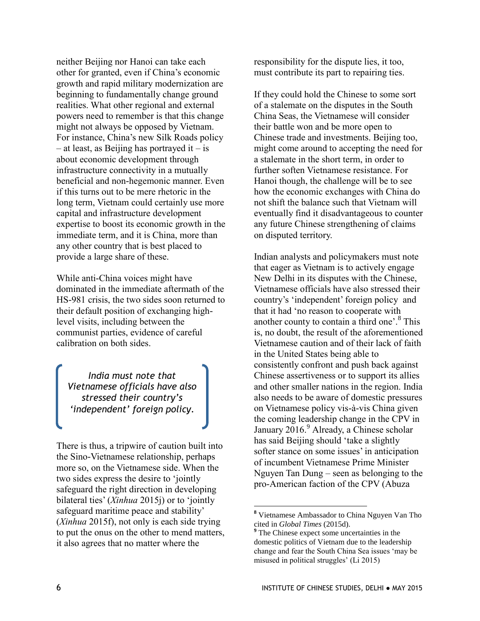neither Beijing nor Hanoi can take each other for granted, even if China's economic growth and rapid military modernization are beginning to fundamentally change ground realities. What other regional and external powers need to remember is that this change might not always be opposed by Vietnam. For instance, China's new Silk Roads policy  $-$  at least, as Beijing has portrayed it  $-$  is about economic development through infrastructure connectivity in a mutually beneficial and non-hegemonic manner. Even if this turns out to be mere rhetoric in the long term, Vietnam could certainly use more capital and infrastructure development expertise to boost its economic growth in the immediate term, and it is China, more than any other country that is best placed to provide a large share of these.

While anti-China voices might have dominated in the immediate aftermath of the HS-981 crisis, the two sides soon returned to their default position of exchanging highlevel visits, including between the communist parties, evidence of careful calibration on both sides.

*India must note that Vietnamese officials have also stressed their country's 'independent' foreign policy.*

There is thus, a tripwire of caution built into the Sino-Vietnamese relationship, perhaps more so, on the Vietnamese side. When the two sides express the desire to 'jointly safeguard the right direction in developing bilateral ties' (*Xinhua* 2015j) or to 'jointly safeguard maritime peace and stability' (*Xinhua* 2015f), not only is each side trying to put the onus on the other to mend matters, it also agrees that no matter where the

responsibility for the dispute lies, it too, must contribute its part to repairing ties.

If they could hold the Chinese to some sort of a stalemate on the disputes in the South China Seas, the Vietnamese will consider their battle won and be more open to Chinese trade and investments. Beijing too, might come around to accepting the need for a stalemate in the short term, in order to further soften Vietnamese resistance. For Hanoi though, the challenge will be to see how the economic exchanges with China do not shift the balance such that Vietnam will eventually find it disadvantageous to counter any future Chinese strengthening of claims on disputed territory.

Indian analysts and policymakers must note that eager as Vietnam is to actively engage New Delhi in its disputes with the Chinese, Vietnamese officials have also stressed their country's 'independent' foreign policy and that it had 'no reason to cooperate with another county to contain a third one'.<sup>8</sup> This is, no doubt, the result of the aforementioned Vietnamese caution and of their lack of faith in the United States being able to consistently confront and push back against Chinese assertiveness or to support its allies and other smaller nations in the region. India also needs to be aware of domestic pressures on Vietnamese policy vis-à-vis China given the coming leadership change in the CPV in January 2016.<sup>9</sup> Already, a Chinese scholar has said Beijing should 'take a slightly softer stance on some issues' in anticipation of incumbent Vietnamese Prime Minister Nguyen Tan Dung – seen as belonging to the pro-American faction of the CPV (Abuza

**<sup>8</sup>** Vietnamese Ambassador to China Nguyen Van Tho cited in *Global Times* (2015d).

**<sup>9</sup>** The Chinese expect some uncertainties in the domestic politics of Vietnam due to the leadership change and fear the South China Sea issues 'may be misused in political struggles' (Li 2015)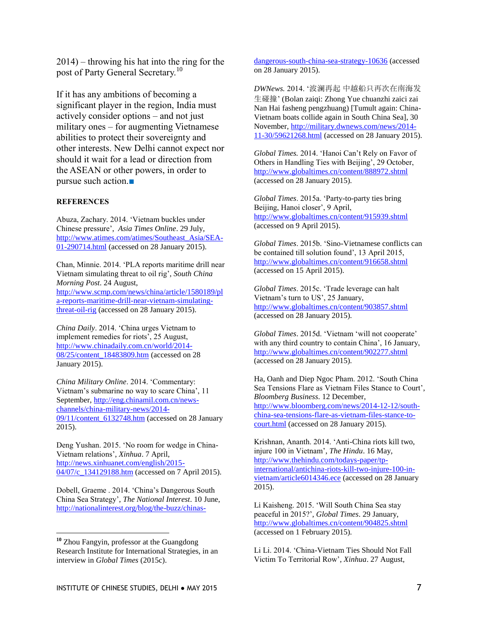2014) – throwing his hat into the ring for the post of Party General Secretary.<sup>10</sup>

If it has any ambitions of becoming a significant player in the region, India must actively consider options – and not just military ones – for augmenting Vietnamese abilities to protect their sovereignty and other interests. New Delhi cannot expect nor should it wait for a lead or direction from the ASEAN or other powers, in order to pursue such action.■

#### **REFERENCES**

Abuza, Zachary. 2014. 'Vietnam buckles under Chinese pressure', *Asia Times Online*. 29 July, [http://www.atimes.com/atimes/Southeast\\_Asia/SEA-](http://www.atimes.com/atimes/Southeast_Asia/SEA-01-290714.html)[01-290714.html](http://www.atimes.com/atimes/Southeast_Asia/SEA-01-290714.html) (accessed on 28 January 2015).

Chan, Minnie. 2014. 'PLA reports maritime drill near Vietnam simulating threat to oil rig', *South China Morning Post*. 24 August, [http://www.scmp.com/news/china/article/1580189/pl](http://www.scmp.com/news/china/article/1580189/pla-reports-maritime-drill-near-vietnam-simulating-threat-oil-rig) [a-reports-maritime-drill-near-vietnam-simulating](http://www.scmp.com/news/china/article/1580189/pla-reports-maritime-drill-near-vietnam-simulating-threat-oil-rig)[threat-oil-rig](http://www.scmp.com/news/china/article/1580189/pla-reports-maritime-drill-near-vietnam-simulating-threat-oil-rig) (accessed on 28 January 2015).

*China Daily*. 2014. 'China urges Vietnam to implement remedies for riots', 25 August, [http://www.chinadaily.com.cn/world/2014-](http://www.chinadaily.com.cn/world/2014-08/25/content_18483809.htm) [08/25/content\\_18483809.htm](http://www.chinadaily.com.cn/world/2014-08/25/content_18483809.htm) (accessed on 28 January 2015).

*China Military Online*. 2014. 'Commentary: Vietnam's submarine no way to scare China', 11 September, [http://eng.chinamil.com.cn/news](http://eng.chinamil.com.cn/news-channels/china-military-news/2014-09/11/content_6132748.htm)[channels/china-military-news/2014-](http://eng.chinamil.com.cn/news-channels/china-military-news/2014-09/11/content_6132748.htm) [09/11/content\\_6132748.htm](http://eng.chinamil.com.cn/news-channels/china-military-news/2014-09/11/content_6132748.htm) (accessed on 28 January 2015).

Deng Yushan. 2015. 'No room for wedge in China-Vietnam relations', *Xinhua*. 7 April, [http://news.xinhuanet.com/english/2015-](http://news.xinhuanet.com/english/2015-04/07/c_134129188.htm) [04/07/c\\_134129188.htm](http://news.xinhuanet.com/english/2015-04/07/c_134129188.htm) (accessed on 7 April 2015).

Dobell, Graeme . 2014. 'China's Dangerous South China Sea Strategy', *The National Interest*. 10 June, [http://nationalinterest.org/blog/the-buzz/chinas-](http://nationalinterest.org/blog/the-buzz/chinas-dangerous-south-china-sea-strategy-10636)

 $\overline{a}$ 

[dangerous-south-china-sea-strategy-10636](http://nationalinterest.org/blog/the-buzz/chinas-dangerous-south-china-sea-strategy-10636) (accessed on 28 January 2015).

*DWNews.* 2014. '波澜再起 中越船只再次在南海发 生碰撞' (Bolan zaiqi: Zhong Yue chuanzhi zaici zai Nan Hai fasheng pengzhuang) [Tumult again: China-Vietnam boats collide again in South China Sea], 30 November, [http://military.dwnews.com/news/2014-](http://military.dwnews.com/news/2014-11-30/59621268.html) [11-30/59621268.html](http://military.dwnews.com/news/2014-11-30/59621268.html) (accessed on 28 January 2015).

*Global Times.* 2014. 'Hanoi Can't Rely on Favor of Others in Handling Ties with Beijing', 29 October, <http://www.globaltimes.cn/content/888972.shtml> (accessed on 28 January 2015).

*Global Times*. 2015a. 'Party-to-party ties bring Beijing, Hanoi closer', 9 April, <http://www.globaltimes.cn/content/915939.shtml> (accessed on 9 April 2015).

*Global Times*. 2015b. 'Sino-Vietnamese conflicts can be contained till solution found', 13 April 2015, <http://www.globaltimes.cn/content/916658.shtml> (accessed on 15 April 2015).

*Global Times*. 2015c. 'Trade leverage can halt Vietnam's turn to US', 25 January, <http://www.globaltimes.cn/content/903857.shtml> (accessed on 28 January 2015).

*Global Times*. 2015d. 'Vietnam 'will not cooperate' with any third country to contain China', 16 January, <http://www.globaltimes.cn/content/902277.shtml> (accessed on 28 January 2015).

Ha, Oanh and Diep Ngoc Pham. 2012. 'South China Sea Tensions Flare as Vietnam Files Stance to Court', *Bloomberg Business*. 12 December, [http://www.bloomberg.com/news/2014-12-12/south](http://www.bloomberg.com/news/2014-12-12/south-china-sea-tensions-flare-as-vietnam-files-stance-to-court.html)[china-sea-tensions-flare-as-vietnam-files-stance-to](http://www.bloomberg.com/news/2014-12-12/south-china-sea-tensions-flare-as-vietnam-files-stance-to-court.html)[court.html](http://www.bloomberg.com/news/2014-12-12/south-china-sea-tensions-flare-as-vietnam-files-stance-to-court.html) (accessed on 28 January 2015).

Krishnan, Ananth. 2014. 'Anti-China riots kill two, injure 100 in Vietnam', *The Hindu*. 16 May, [http://www.thehindu.com/todays-paper/tp](http://www.thehindu.com/todays-paper/tp-international/antichina-riots-kill-two-injure-100-in-vietnam/article6014346.ece)[international/antichina-riots-kill-two-injure-100-in](http://www.thehindu.com/todays-paper/tp-international/antichina-riots-kill-two-injure-100-in-vietnam/article6014346.ece)[vietnam/article6014346.ece](http://www.thehindu.com/todays-paper/tp-international/antichina-riots-kill-two-injure-100-in-vietnam/article6014346.ece) (accessed on 28 January 2015).

Li Kaisheng. 2015. 'Will South China Sea stay peaceful in 2015?', *Global Times*. 29 January, <http://www.globaltimes.cn/content/904825.shtml> (accessed on 1 February 2015).

Li Li. 2014. 'China-Vietnam Ties Should Not Fall Victim To Territorial Row', *Xinhua*. 27 August,

**<sup>10</sup>** Zhou Fangyin, professor at the Guangdong Research Institute for International Strategies, in an interview in *Global Times* (2015c).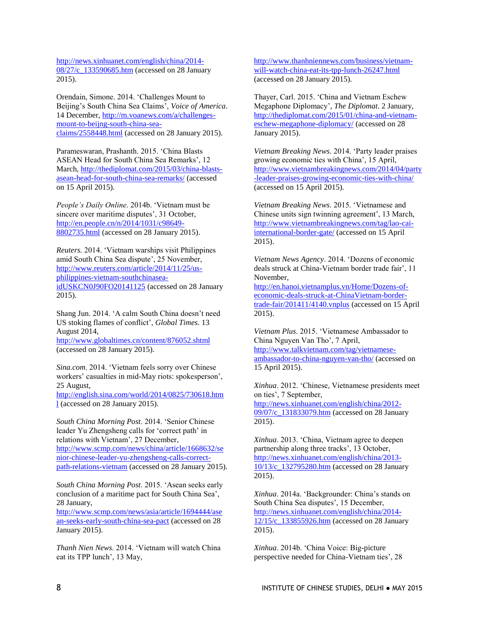[http://news.xinhuanet.com/english/china/2014-](http://news.xinhuanet.com/english/china/2014-08/27/c_133590685.htm) [08/27/c\\_133590685.htm](http://news.xinhuanet.com/english/china/2014-08/27/c_133590685.htm) (accessed on 28 January 2015).

Orendain, Simone. 2014. 'Challenges Mount to Beijing's South China Sea Claims', *Voice of America*. 14 December, [http://m.voanews.com/a/challenges](http://m.voanews.com/a/challenges-mount-to-beijng-south-china-sea-claims/2558448.html)[mount-to-beijng-south-china-sea](http://m.voanews.com/a/challenges-mount-to-beijng-south-china-sea-claims/2558448.html)[claims/2558448.html](http://m.voanews.com/a/challenges-mount-to-beijng-south-china-sea-claims/2558448.html) (accessed on 28 January 2015).

Parameswaran, Prashanth. 2015. 'China Blasts ASEAN Head for South China Sea Remarks', 12 March, [http://thediplomat.com/2015/03/china-blasts](http://thediplomat.com/2015/03/china-blasts-asean-head-for-south-china-sea-remarks/)[asean-head-for-south-china-sea-remarks/](http://thediplomat.com/2015/03/china-blasts-asean-head-for-south-china-sea-remarks/) (accessed on 15 April 2015).

*People's Daily Online*. 2014b. 'Vietnam must be sincere over maritime disputes', 31 October, [http://en.people.cn/n/2014/1031/c98649-](http://en.people.cn/n/2014/1031/c98649-8802735.html) [8802735.html](http://en.people.cn/n/2014/1031/c98649-8802735.html) (accessed on 28 January 2015).

*Reuters.* 2014. 'Vietnam warships visit Philippines amid South China Sea dispute', 25 November, [http://www.reuters.com/article/2014/11/25/us](http://www.reuters.com/article/2014/11/25/us-philippines-vietnam-southchinasea-idUSKCN0J90FO20141125)[philippines-vietnam-southchinasea](http://www.reuters.com/article/2014/11/25/us-philippines-vietnam-southchinasea-idUSKCN0J90FO20141125)[idUSKCN0J90FO20141125](http://www.reuters.com/article/2014/11/25/us-philippines-vietnam-southchinasea-idUSKCN0J90FO20141125) (accessed on 28 January 2015).

Shang Jun. 2014. 'A calm South China doesn't need US stoking flames of conflict', *Global Times.* 13 August 2014, <http://www.globaltimes.cn/content/876052.shtml>

(accessed on 28 January 2015).

*Sina.com*. 2014. 'Vietnam feels sorry over Chinese workers' casualties in mid-May riots: spokesperson', 25 August,

[http://english.sina.com/world/2014/0825/730618.htm](http://english.sina.com/world/2014/0825/730618.html) [l](http://english.sina.com/world/2014/0825/730618.html) (accessed on 28 January 2015).

*South China Morning Post*. 2014. 'Senior Chinese leader Yu Zhengsheng calls for 'correct path' in relations with Vietnam', 27 December, [http://www.scmp.com/news/china/article/1668632/se](http://www.scmp.com/news/china/article/1668632/senior-chinese-leader-yu-zhengsheng-calls-correct-path-relations-vietnam) [nior-chinese-leader-yu-zhengsheng-calls-correct](http://www.scmp.com/news/china/article/1668632/senior-chinese-leader-yu-zhengsheng-calls-correct-path-relations-vietnam)[path-relations-vietnam](http://www.scmp.com/news/china/article/1668632/senior-chinese-leader-yu-zhengsheng-calls-correct-path-relations-vietnam) (accessed on 28 January 2015).

*South China Morning Post*. 2015. 'Asean seeks early conclusion of a maritime pact for South China Sea', 28 January,

[http://www.scmp.com/news/asia/article/1694444/ase](http://www.scmp.com/news/asia/article/1694444/asean-seeks-early-south-china-sea-pact) [an-seeks-early-south-china-sea-pact](http://www.scmp.com/news/asia/article/1694444/asean-seeks-early-south-china-sea-pact) (accessed on 28 January 2015).

*Thanh Nien News*. 2014. 'Vietnam will watch China eat its TPP lunch', 13 May,

[http://www.thanhniennews.com/business/vietnam](http://www.thanhniennews.com/business/vietnam-will-watch-china-eat-its-tpp-lunch-26247.html)[will-watch-china-eat-its-tpp-lunch-26247.html](http://www.thanhniennews.com/business/vietnam-will-watch-china-eat-its-tpp-lunch-26247.html) (accessed on 28 January 2015).

Thayer, Carl. 2015. 'China and Vietnam Eschew Megaphone Diplomacy', *The Diplomat*. 2 January, [http://thediplomat.com/2015/01/china-and-vietnam](http://thediplomat.com/2015/01/china-and-vietnam-eschew-megaphone-diplomacy/)[eschew-megaphone-diplomacy/](http://thediplomat.com/2015/01/china-and-vietnam-eschew-megaphone-diplomacy/) (accessed on 28 January 2015).

*Vietnam Breaking News*. 2014. 'Party leader praises growing economic ties with China', 15 April, [http://www.vietnambreakingnews.com/2014/04/party](http://www.vietnambreakingnews.com/2014/04/party-leader-praises-growing-economic-ties-with-china/) [-leader-praises-growing-economic-ties-with-china/](http://www.vietnambreakingnews.com/2014/04/party-leader-praises-growing-economic-ties-with-china/) (accessed on 15 April 2015).

*Vietnam Breaking News*. 2015. 'Vietnamese and Chinese units sign twinning agreement', 13 March, [http://www.vietnambreakingnews.com/tag/lao-cai](http://www.vietnambreakingnews.com/tag/lao-cai-international-border-gate/)[international-border-gate/](http://www.vietnambreakingnews.com/tag/lao-cai-international-border-gate/) (accessed on 15 April 2015).

*Vietnam News Agency*. 2014. 'Dozens of economic deals struck at China-Vietnam border trade fair', 11 November,

[http://en.hanoi.vietnamplus.vn/Home/Dozens-of](http://en.hanoi.vietnamplus.vn/Home/Dozens-of-economic-deals-struck-at-ChinaVietnam-border-trade-fair/201411/4140.vnplus)[economic-deals-struck-at-ChinaVietnam-border](http://en.hanoi.vietnamplus.vn/Home/Dozens-of-economic-deals-struck-at-ChinaVietnam-border-trade-fair/201411/4140.vnplus)[trade-fair/201411/4140.vnplus](http://en.hanoi.vietnamplus.vn/Home/Dozens-of-economic-deals-struck-at-ChinaVietnam-border-trade-fair/201411/4140.vnplus) (accessed on 15 April 2015).

*Vietnam Plus*. 2015. 'Vietnamese Ambassador to China Nguyen Van Tho', 7 April, [http://www.talkvietnam.com/tag/vietnamese](http://www.talkvietnam.com/tag/vietnamese-ambassador-to-china-nguyen-van-tho/)[ambassador-to-china-nguyen-van-tho/](http://www.talkvietnam.com/tag/vietnamese-ambassador-to-china-nguyen-van-tho/) (accessed on 15 April 2015).

*Xinhua*. 2012. 'Chinese, Vietnamese presidents meet on ties', 7 September, [http://news.xinhuanet.com/english/china/2012-](http://news.xinhuanet.com/english/china/2012-09/07/c_131833079.htm) [09/07/c\\_131833079.htm](http://news.xinhuanet.com/english/china/2012-09/07/c_131833079.htm) (accessed on 28 January 2015).

*Xinhua*. 2013. 'China, Vietnam agree to deepen partnership along three tracks', 13 October, [http://news.xinhuanet.com/english/china/2013-](http://news.xinhuanet.com/english/china/2013-10/13/c_132795280.htm) [10/13/c\\_132795280.htm](http://news.xinhuanet.com/english/china/2013-10/13/c_132795280.htm) (accessed on 28 January 2015).

*Xinhua*. 2014a. 'Backgrounder: China's stands on South China Sea disputes', 15 December, [http://news.xinhuanet.com/english/china/2014-](http://news.xinhuanet.com/english/china/2014-12/15/c_133855926.htm) [12/15/c\\_133855926.htm](http://news.xinhuanet.com/english/china/2014-12/15/c_133855926.htm) (accessed on 28 January 2015).

*Xinhua*. 2014b. 'China Voice: Big-picture perspective needed for China-Vietnam ties', 28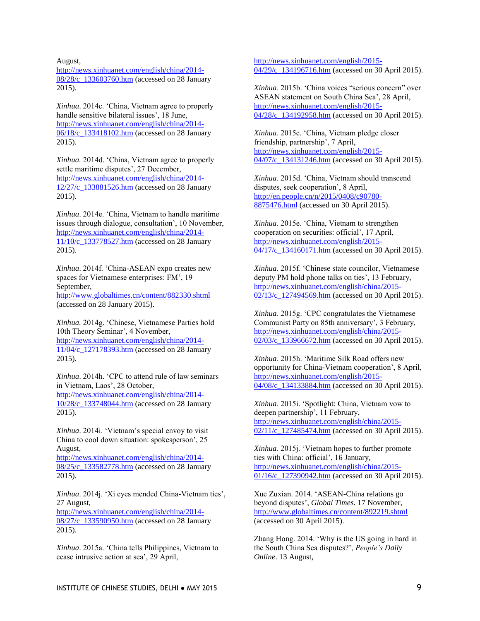August,

[http://news.xinhuanet.com/english/china/2014-](http://news.xinhuanet.com/english/china/2014-08/28/c_133603760.htm) [08/28/c\\_133603760.htm](http://news.xinhuanet.com/english/china/2014-08/28/c_133603760.htm) (accessed on 28 January 2015).

*Xinhua*. 2014c. 'China, Vietnam agree to properly handle sensitive bilateral issues', 18 June, [http://news.xinhuanet.com/english/china/2014-](http://news.xinhuanet.com/english/china/2014-06/18/c_133418102.htm) [06/18/c\\_133418102.htm](http://news.xinhuanet.com/english/china/2014-06/18/c_133418102.htm) (accessed on 28 January 2015).

*Xinhua.* 2014d. 'China, Vietnam agree to properly settle maritime disputes', 27 December, [http://news.xinhuanet.com/english/china/2014-](http://news.xinhuanet.com/english/china/2014-12/27/c_133881526.htm) [12/27/c\\_133881526.htm](http://news.xinhuanet.com/english/china/2014-12/27/c_133881526.htm) (accessed on 28 January 2015).

*Xinhua*. 2014e. 'China, Vietnam to handle maritime issues through dialogue, consultation', 10 November, [http://news.xinhuanet.com/english/china/2014-](http://news.xinhuanet.com/english/china/2014-11/10/c_133778527.htm) [11/10/c\\_133778527.htm](http://news.xinhuanet.com/english/china/2014-11/10/c_133778527.htm) (accessed on 28 January 2015).

*Xinhua*. 2014f. 'China-ASEAN expo creates new spaces for Vietnamese enterprises: FM', 19 September,

<http://www.globaltimes.cn/content/882330.shtml> (accessed on 28 January 2015).

*Xinhua.* 2014g. 'Chinese, Vietnamese Parties hold 10th Theory Seminar', 4 November, [http://news.xinhuanet.com/english/china/2014-](http://news.xinhuanet.com/english/china/2014-11/04/c_127178393.htm) [11/04/c\\_127178393.htm](http://news.xinhuanet.com/english/china/2014-11/04/c_127178393.htm) (accessed on 28 January 2015).

*Xinhua*. 2014h. 'CPC to attend rule of law seminars in Vietnam, Laos', 28 October, [http://news.xinhuanet.com/english/china/2014-](http://news.xinhuanet.com/english/china/2014-10/28/c_133748044.htm) [10/28/c\\_133748044.htm](http://news.xinhuanet.com/english/china/2014-10/28/c_133748044.htm) (accessed on 28 January 2015).

*Xinhua*. 2014i. 'Vietnam's special envoy to visit China to cool down situation: spokesperson', 25 August,

[http://news.xinhuanet.com/english/china/2014-](http://news.xinhuanet.com/english/china/2014-08/25/c_133582778.htm) [08/25/c\\_133582778.htm](http://news.xinhuanet.com/english/china/2014-08/25/c_133582778.htm) (accessed on 28 January 2015).

*Xinhua*. 2014j. 'Xi eyes mended China-Vietnam ties', 27 August,

[http://news.xinhuanet.com/english/china/2014-](http://news.xinhuanet.com/english/china/2014-08/27/c_133590950.htm) [08/27/c\\_133590950.htm](http://news.xinhuanet.com/english/china/2014-08/27/c_133590950.htm) (accessed on 28 January 2015).

*Xinhua*. 2015a. 'China tells Philippines, Vietnam to cease intrusive action at sea', 29 April,

[http://news.xinhuanet.com/english/2015-](http://news.xinhuanet.com/english/2015-04/29/c_134196716.htm) 04/29/c 134196716.htm (accessed on 30 April 2015).

*Xinhua*. 2015b. 'China voices "serious concern" over ASEAN statement on South China Sea', 28 April, [http://news.xinhuanet.com/english/2015-](http://news.xinhuanet.com/english/2015-04/28/c_134192958.htm) [04/28/c\\_134192958.htm](http://news.xinhuanet.com/english/2015-04/28/c_134192958.htm) (accessed on 30 April 2015).

*Xinhua*. 2015c. 'China, Vietnam pledge closer friendship, partnership', 7 April, [http://news.xinhuanet.com/english/2015-](http://news.xinhuanet.com/english/2015-04/07/c_134131246.htm) [04/07/c\\_134131246.htm](http://news.xinhuanet.com/english/2015-04/07/c_134131246.htm) (accessed on 30 April 2015).

*Xinhua*. 2015d. 'China, Vietnam should transcend disputes, seek cooperation', 8 April, [http://en.people.cn/n/2015/0408/c90780-](http://en.people.cn/n/2015/0408/c90780-8875476.html) [8875476.html](http://en.people.cn/n/2015/0408/c90780-8875476.html) (accessed on 30 April 2015).

*Xinhua*. 2015e. 'China, Vietnam to strengthen cooperation on securities: official', 17 April, [http://news.xinhuanet.com/english/2015-](http://news.xinhuanet.com/english/2015-04/17/c_134160171.htm) [04/17/c\\_134160171.htm](http://news.xinhuanet.com/english/2015-04/17/c_134160171.htm) (accessed on 30 April 2015).

*Xinhua.* 2015f. 'Chinese state councilor, Vietnamese deputy PM hold phone talks on ties', 13 February, [http://news.xinhuanet.com/english/china/2015-](http://news.xinhuanet.com/english/china/2015-02/13/c_127494569.htm)  $\frac{0.02}{13}{c}$  127494569.htm (accessed on 30 April 2015).

*Xinhua*. 2015g. 'CPC congratulates the Vietnamese Communist Party on 85th anniversary', 3 February, [http://news.xinhuanet.com/english/china/2015-](http://news.xinhuanet.com/english/china/2015-02/03/c_133966672.htm) [02/03/c\\_133966672.htm](http://news.xinhuanet.com/english/china/2015-02/03/c_133966672.htm) (accessed on 30 April 2015).

*Xinhua*. 2015h. 'Maritime Silk Road offers new opportunity for China-Vietnam cooperation', 8 April, [http://news.xinhuanet.com/english/2015-](http://news.xinhuanet.com/english/2015-04/08/c_134133884.htm) [04/08/c\\_134133884.htm](http://news.xinhuanet.com/english/2015-04/08/c_134133884.htm) (accessed on 30 April 2015).

*Xinhua*. 2015i. 'Spotlight: China, Vietnam vow to deepen partnership', 11 February, [http://news.xinhuanet.com/english/china/2015-](http://news.xinhuanet.com/english/china/2015-02/11/c_127485474.htm) 02/11/c 127485474.htm (accessed on 30 April 2015).

*Xinhua*. 2015j. 'Vietnam hopes to further promote ties with China: official', 16 January, [http://news.xinhuanet.com/english/china/2015-](http://news.xinhuanet.com/english/china/2015-01/16/c_127390942.htm) [01/16/c\\_127390942.htm](http://news.xinhuanet.com/english/china/2015-01/16/c_127390942.htm) (accessed on 30 April 2015).

Xue Zuxian. 2014. 'ASEAN-China relations go beyond disputes', *Global Times*. 17 November, <http://www.globaltimes.cn/content/892219.shtml> (accessed on 30 April 2015).

Zhang Hong. 2014. 'Why is the US going in hard in the South China Sea disputes?', *People's Daily Online*. 13 August,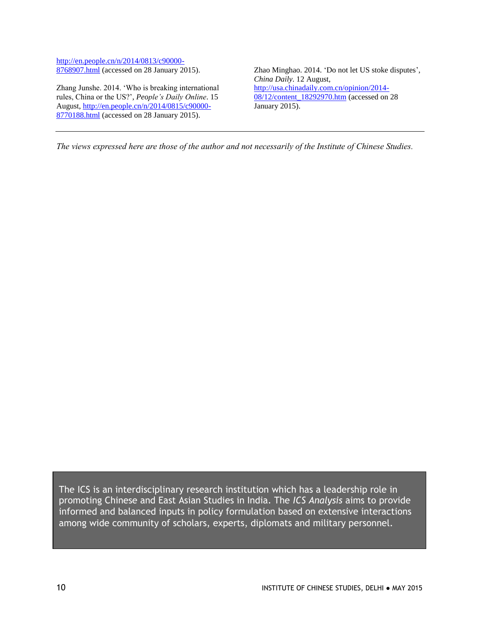[http://en.people.cn/n/2014/0813/c90000-](http://en.people.cn/n/2014/0813/c90000-8768907.html) [8768907.html](http://en.people.cn/n/2014/0813/c90000-8768907.html) (accessed on 28 January 2015).

Zhang Junshe. 2014. 'Who is breaking international rules, China or the US?', *People's Daily Online*. 15 August, [http://en.people.cn/n/2014/0815/c90000-](http://en.people.cn/n/2014/0815/c90000-8770188.html) [8770188.html](http://en.people.cn/n/2014/0815/c90000-8770188.html) (accessed on 28 January 2015).

Zhao Minghao. 2014. 'Do not let US stoke disputes', *China Daily*. 12 August, [http://usa.chinadaily.com.cn/opinion/2014-](http://usa.chinadaily.com.cn/opinion/2014-08/12/content_18292970.htm) [08/12/content\\_18292970.htm](http://usa.chinadaily.com.cn/opinion/2014-08/12/content_18292970.htm) (accessed on 28) January 2015).

*The views expressed here are those of the author and not necessarily of the Institute of Chinese Studies.*

The ICS is an interdisciplinary research institution which has a leadership role in promoting Chinese and East Asian Studies in India. The *ICS Analysis* aims to provide informed and balanced inputs in policy formulation based on extensive interactions among wide community of scholars, experts, diplomats and military personnel.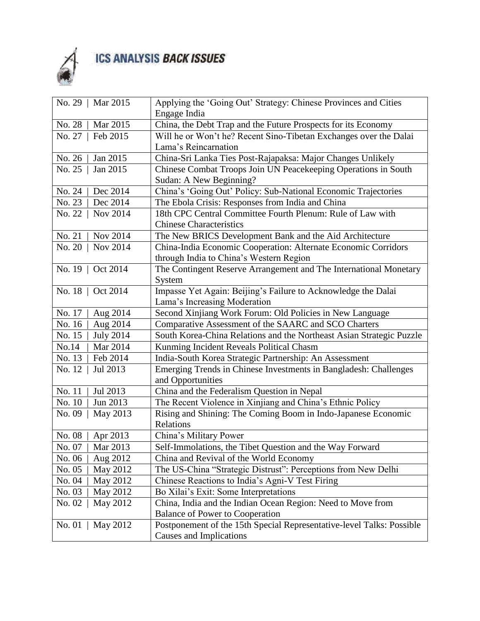

## ICS ANALYSIS BACK ISSUES

| No. 29   Mar 2015          | Applying the 'Going Out' Strategy: Chinese Provinces and Cities       |
|----------------------------|-----------------------------------------------------------------------|
|                            | Engage India                                                          |
| No. 28<br>Mar 2015         | China, the Debt Trap and the Future Prospects for its Economy         |
| Feb 2015<br>No. 27         | Will he or Won't he? Recent Sino-Tibetan Exchanges over the Dalai     |
|                            | Lama's Reincarnation                                                  |
| No. 26<br>Jan 2015         | China-Sri Lanka Ties Post-Rajapaksa: Major Changes Unlikely           |
| Jan 2015<br>No. 25         | Chinese Combat Troops Join UN Peacekeeping Operations in South        |
|                            | Sudan: A New Beginning?                                               |
| No. 24<br>Dec 2014         | China's 'Going Out' Policy: Sub-National Economic Trajectories        |
| Dec 2014<br>No. 23         | The Ebola Crisis: Responses from India and China                      |
| No. 22   Nov 2014          | 18th CPC Central Committee Fourth Plenum: Rule of Law with            |
|                            | <b>Chinese Characteristics</b>                                        |
| Nov 2014<br>No. 21         | The New BRICS Development Bank and the Aid Architecture               |
| No. 20   Nov 2014          | China-India Economic Cooperation: Alternate Economic Corridors        |
|                            | through India to China's Western Region                               |
| No. 19   Oct 2014          | The Contingent Reserve Arrangement and The International Monetary     |
|                            | System                                                                |
| No. 18   Oct 2014          | Impasse Yet Again: Beijing's Failure to Acknowledge the Dalai         |
|                            | Lama's Increasing Moderation                                          |
| No. 17<br>Aug 2014         | Second Xinjiang Work Forum: Old Policies in New Language              |
| Aug 2014<br>No. 16         | Comparative Assessment of the SAARC and SCO Charters                  |
| No. 15<br><b>July 2014</b> | South Korea-China Relations and the Northeast Asian Strategic Puzzle  |
| No.14<br>Mar 2014          | Kunming Incident Reveals Political Chasm                              |
| No. 13<br>Feb 2014         | India-South Korea Strategic Partnership: An Assessment                |
| No. 12   Jul 2013          | Emerging Trends in Chinese Investments in Bangladesh: Challenges      |
|                            | and Opportunities                                                     |
| No. 11<br>Jul 2013         | China and the Federalism Question in Nepal                            |
| No. 10<br>Jun 2013         | The Recent Violence in Xinjiang and China's Ethnic Policy             |
| May 2013<br>No. 09         | Rising and Shining: The Coming Boom in Indo-Japanese Economic         |
|                            | Relations                                                             |
| No. 08<br>Apr 2013         | China's Military Power                                                |
| No. 07   Mar 2013          | Self-Immolations, the Tibet Question and the Way Forward              |
| No. 06<br>Aug 2012         | China and Revival of the World Economy                                |
| May 2012<br>No. 05         | The US-China "Strategic Distrust": Perceptions from New Delhi         |
| May 2012<br>No. 04         | Chinese Reactions to India's Agni-V Test Firing                       |
| No. 03<br>May 2012         | Bo Xilai's Exit: Some Interpretations                                 |
| No. 02<br>May 2012         | China, India and the Indian Ocean Region: Need to Move from           |
|                            | <b>Balance of Power to Cooperation</b>                                |
| No. 01<br>$\vert$ May 2012 | Postponement of the 15th Special Representative-level Talks: Possible |
|                            | <b>Causes and Implications</b>                                        |